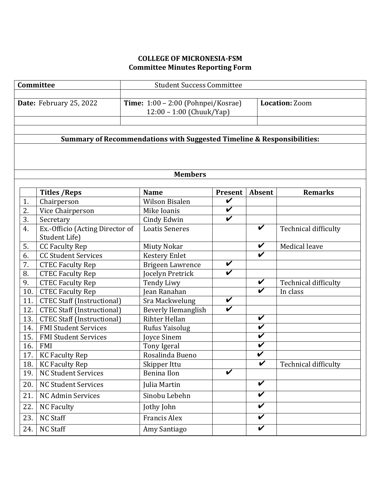# **COLLEGE OF MICRONESIA-FSM Committee Minutes Reporting Form**

| Committee                                                              |                                   | <b>Student Success Committee</b>                               |                         |                            |                             |  |  |  |  |
|------------------------------------------------------------------------|-----------------------------------|----------------------------------------------------------------|-------------------------|----------------------------|-----------------------------|--|--|--|--|
|                                                                        | Date: February 25, 2022           | Time: 1:00 - 2:00 (Pohnpei/Kosrae)<br>12:00 - 1:00 (Chuuk/Yap) |                         |                            | <b>Location: Zoom</b>       |  |  |  |  |
| Summary of Recommendations with Suggested Timeline & Responsibilities: |                                   |                                                                |                         |                            |                             |  |  |  |  |
|                                                                        |                                   |                                                                |                         |                            |                             |  |  |  |  |
|                                                                        |                                   | <b>Members</b>                                                 |                         |                            |                             |  |  |  |  |
|                                                                        | <b>Titles / Reps</b>              | <b>Name</b>                                                    | <b>Present</b>          | Absent                     | <b>Remarks</b>              |  |  |  |  |
| 1.                                                                     | Chairperson                       | <b>Wilson Bisalen</b>                                          | V                       |                            |                             |  |  |  |  |
| 2.                                                                     | Vice Chairperson                  | Mike Ioanis                                                    | $\checkmark$            |                            |                             |  |  |  |  |
| 3.                                                                     | Secretary                         | Cindy Edwin                                                    | $\boldsymbol{\nu}$      |                            |                             |  |  |  |  |
| 4.                                                                     | Ex.-Officio (Acting Director of   | <b>Loatis Seneres</b>                                          |                         | V                          | <b>Technical difficulty</b> |  |  |  |  |
|                                                                        | Student Life)                     |                                                                |                         |                            |                             |  |  |  |  |
| 5.                                                                     | <b>CC Faculty Rep</b>             | <b>Miuty Nokar</b>                                             |                         | $\checkmark$               | Medical leave               |  |  |  |  |
| 6.                                                                     | <b>CC Student Services</b>        | <b>Kestery Enlet</b>                                           |                         | $\boldsymbol{\nu}$         |                             |  |  |  |  |
| 7.                                                                     | <b>CTEC Faculty Rep</b>           | <b>Brigeen Lawrence</b>                                        | $\overline{\mathbf{v}}$ |                            |                             |  |  |  |  |
| 8.                                                                     | <b>CTEC Faculty Rep</b>           | Jocelyn Pretrick                                               | $\boldsymbol{\nu}$      |                            |                             |  |  |  |  |
| 9.                                                                     | <b>CTEC Faculty Rep</b>           | <b>Tendy Liwy</b>                                              |                         | $\checkmark$               | Technical difficulty        |  |  |  |  |
| 10.                                                                    | <b>CTEC Faculty Rep</b>           | Jean Ranahan                                                   |                         | V                          | In class                    |  |  |  |  |
| 11.                                                                    | <b>CTEC Staff (Instructional)</b> | Sra Mackwelung                                                 | $\checkmark$            |                            |                             |  |  |  |  |
| 12.                                                                    | <b>CTEC Staff (Instructional)</b> | <b>Beverly Ilemanglish</b>                                     | $\overline{\mathbf{v}}$ |                            |                             |  |  |  |  |
| 13.                                                                    | <b>CTEC Staff (Instructional)</b> | Rihter Hellan                                                  |                         | V                          |                             |  |  |  |  |
| 14.                                                                    | <b>FMI Student Services</b>       | Rufus Yaisolug                                                 |                         | $\overline{\mathbf{v}}$    |                             |  |  |  |  |
| 15.                                                                    | <b>FMI Student Services</b>       | Joyce Sinem                                                    |                         | V                          |                             |  |  |  |  |
| 16.                                                                    | <b>FMI</b>                        | Tony Igeral                                                    |                         | $\checkmark$               |                             |  |  |  |  |
| 17.                                                                    | <b>KC Faculty Rep</b>             | Rosalinda Bueno                                                |                         | $\overline{\mathbf{v}}$    |                             |  |  |  |  |
| 18.                                                                    | <b>KC Faculty Rep</b>             | Skipper Ittu                                                   |                         | $\boldsymbol{\mathcal{U}}$ | Technical difficulty        |  |  |  |  |
| 19.                                                                    | NC Student Services               | <b>Benina Ilon</b>                                             | $\overline{\mathbf{v}}$ |                            |                             |  |  |  |  |
| 20.                                                                    | <b>NC Student Services</b>        | Julia Martin                                                   |                         | $\overline{\mathbf{v}}$    |                             |  |  |  |  |
| 21.                                                                    | NC Admin Services                 | Sinobu Lebehn                                                  |                         | V                          |                             |  |  |  |  |
| 22.                                                                    | <b>NC Faculty</b>                 | Jothy John                                                     |                         | $\overline{\mathbf{v}}$    |                             |  |  |  |  |
| 23.                                                                    | NC Staff                          | <b>Francis Alex</b>                                            |                         | V                          |                             |  |  |  |  |
| 24.                                                                    | <b>NC Staff</b>                   | Amy Santiago                                                   |                         | V                          |                             |  |  |  |  |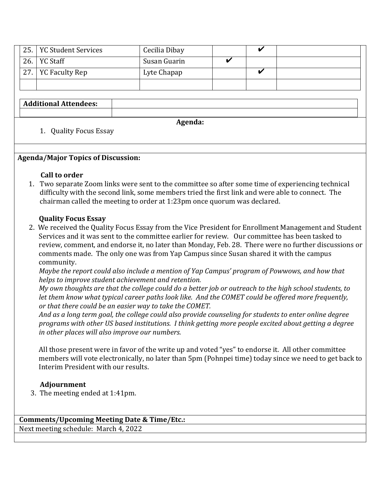| 25. | .   YC Student Services | Cecilia Dibay |  |  |
|-----|-------------------------|---------------|--|--|
| 26. | . YC Staff              | Susan Guarin  |  |  |
| 27. | <b>YC Faculty Rep</b>   | Lyte Chapap   |  |  |
|     |                         |               |  |  |

## **Additional Attendees:**

**Agenda:**

### 1. Quality Focus Essay

#### **Agenda/Major Topics of Discussion:**

#### **Call to order**

1. Two separate Zoom links were sent to the committee so after some time of experiencing technical difficulty with the second link, some members tried the first link and were able to connect. The chairman called the meeting to order at 1:23pm once quorum was declared.

#### **Quality Focus Essay**

**2.** We received the Quality Focus Essay from the Vice President for Enrollment Management and Student Services and it was sent to the committee earlier for review. Our committee has been tasked to review, comment, and endorse it, no later than Monday, Feb. 28. There were no further discussions or comments made. The only one was from Yap Campus since Susan shared it with the campus community. 

*Maybe the report could also include a mention of Yap Campus' program of Powwows, and how that helps to improve student achievement and retention.* 

*My* own thoughts are that the college could do a better job or outreach to the high school students, to *let them know what typical career paths look like. And the COMET could be offered more frequently, <i>or* that there could be an easier way to take the COMET.

And as a long term goal, the college could also provide counseling for students to enter online degree *programs* with other US based institutions. I think getting more people excited about getting a degree *in* other places will also improve our numbers.

All those present were in favor of the write up and voted "yes" to endorse it. All other committee members will vote electronically, no later than 5pm (Pohnpei time) today since we need to get back to Interim President with our results.

#### **Adjournment**

3. The meeting ended at 1:41pm.

**Comments/Upcoming Meeting Date & Time/Etc.:** Next meeting schedule: March 4, 2022